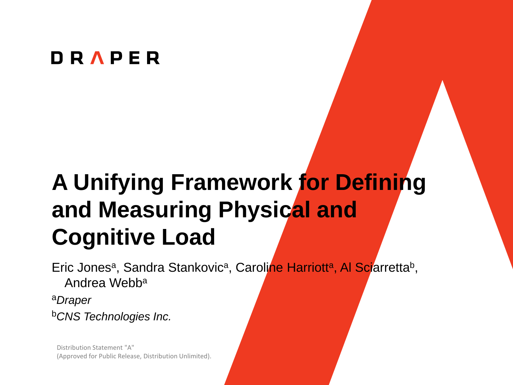#### **DRAPER**

# **A Unifying Framework for Defining and Measuring Physical and Cognitive Load**

Eric Jones<sup>a</sup>, Sandra Stankovic<sup>a</sup>, Caroline Harriott<sup>a</sup>, Al Sciarretta<sup>b</sup>, Andrea Webba <sup>a</sup>*Draper*

<sup>b</sup>*CNS Technologies Inc.*

Distribution Statement "A" (Approved for Public Release, Distribution Unlimited).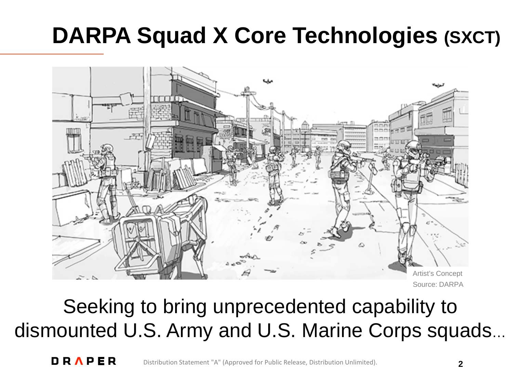# **DARPA Squad X Core Technologies (SXCT)**



Source: DARPA

### Seeking to bring unprecedented capability to dismounted U.S. Army and U.S. Marine Corps squads…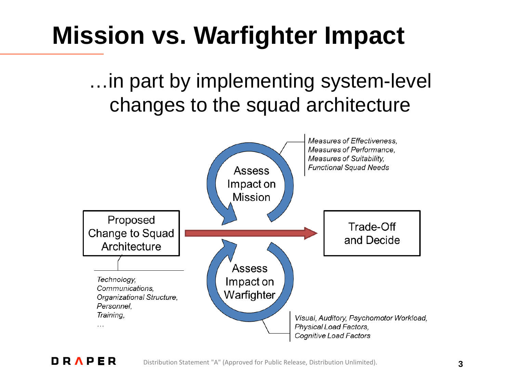# **Mission vs. Warfighter Impact**

…in part by implementing system-level changes to the squad architecture



Distribution Statement "A" (Approved for Public Release, Distribution Unlimited).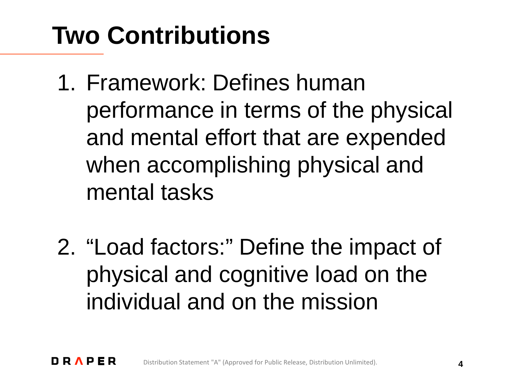# **Two Contributions**

- 1. Framework: Defines human performance in terms of the physical and mental effort that are expended when accomplishing physical and mental tasks
- 2. "Load factors:" Define the impact of physical and cognitive load on the individual and on the mission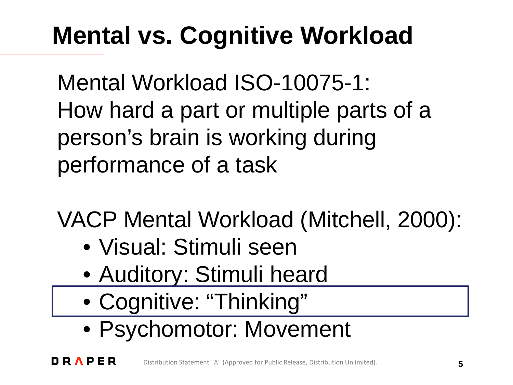# **Mental vs. Cognitive Workload**

Mental Workload ISO-10075-1: How hard a part or multiple parts of a person's brain is working during performance of a task

VACP Mental Workload (Mitchell, 2000):

- Visual: Stimuli seen
- Auditory: Stimuli heard
- Cognitive: "Thinking"
- Psychomotor: Movement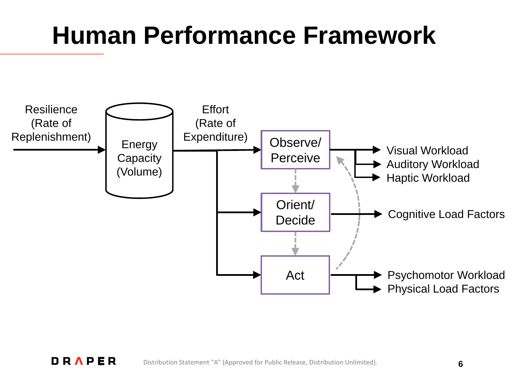# **Human Performance Framework**

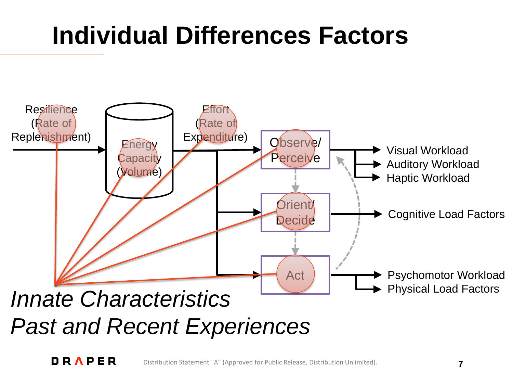# **Individual Differences Factors**

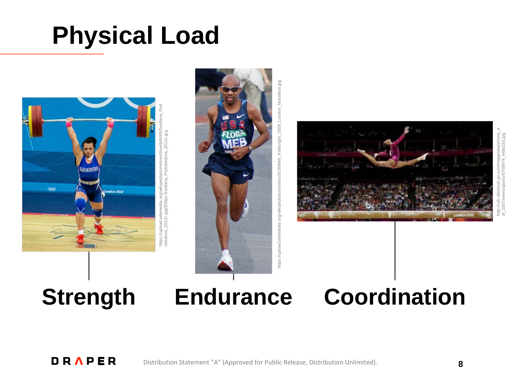# **Physical Load**







### **Strength**

### **Coordination**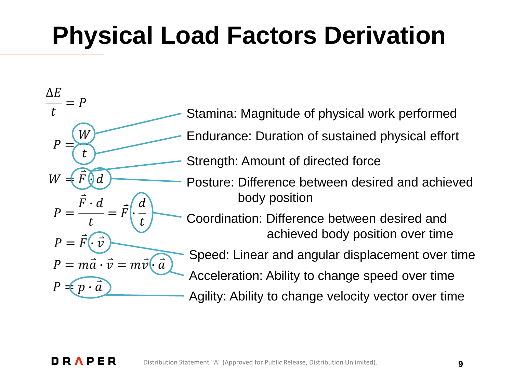# **Physical Load Factors Derivation**

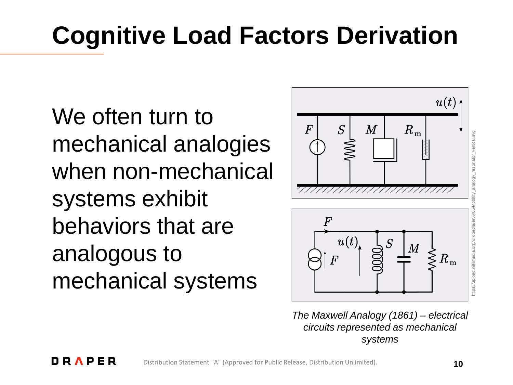# **Cognitive Load Factors Derivation**

We often turn to mechanical analogies when non-mechanical systems exhibit behaviors that are analogous to mechanical systems



*The Maxwell Analogy (1861) – electrical circuits represented as mechanical systems*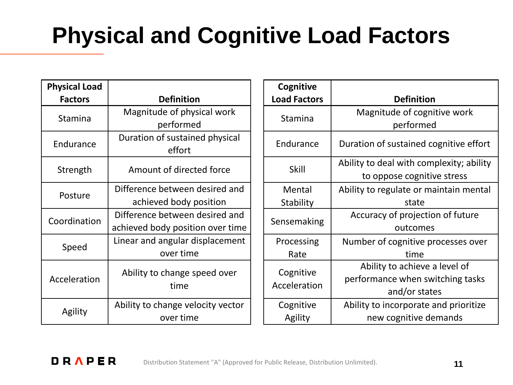# **Physical and Cognitive Load Factors**

| <b>Physical Load</b> |                                   |
|----------------------|-----------------------------------|
| <b>Factors</b>       | <b>Definition</b>                 |
| Stamina              | Magnitude of physical work        |
|                      | performed                         |
| Endurance            | Duration of sustained physical    |
|                      | effort                            |
| Strength             | Amount of directed force          |
|                      |                                   |
| Posture              | Difference between desired and    |
|                      | achieved body position            |
| Coordination         | Difference between desired and    |
|                      | achieved body position over time  |
| Speed                | Linear and angular displacement   |
|                      | over time                         |
| Acceleration         | Ability to change speed over      |
|                      | time                              |
|                      |                                   |
| Agility              | Ability to change velocity vector |
|                      | over time                         |

| Cognitive                 |                                          |
|---------------------------|------------------------------------------|
| <b>Load Factors</b>       | <b>Definition</b>                        |
|                           |                                          |
| Stamina                   | Magnitude of cognitive work              |
|                           | performed                                |
| Endurance                 | Duration of sustained cognitive effort   |
| Skill                     | Ability to deal with complexity; ability |
|                           | to oppose cognitive stress               |
| Mental                    | Ability to regulate or maintain mental   |
| Stability                 | state                                    |
| Sensemaking               | Accuracy of projection of future         |
|                           | outcomes                                 |
| Processing                | Number of cognitive processes over       |
| Rate                      | time                                     |
| Cognitive<br>Acceleration | Ability to achieve a level of            |
|                           | performance when switching tasks         |
|                           | and/or states                            |
| Cognitive                 | Ability to incorporate and prioritize    |
| Agility                   | new cognitive demands                    |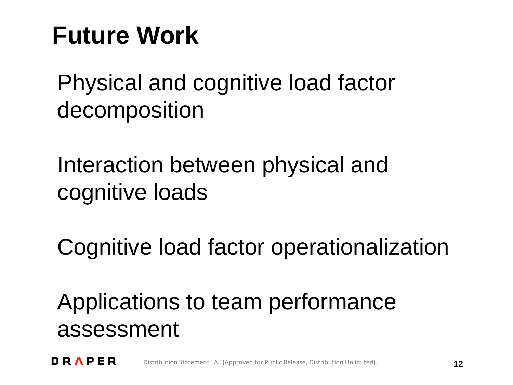# **Future Work**

Physical and cognitive load factor decomposition

Interaction between physical and cognitive loads

Cognitive load factor operationalization

Applications to team performance assessment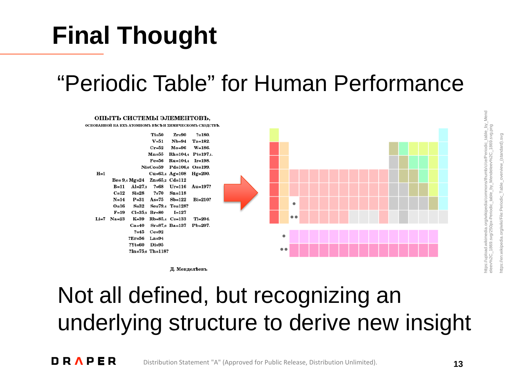#### DRAPER Distribution Statement "A" (Approved for Public Release, Distribution Unlimited).

Not all defined, but recognizing an

https://upload.wikimedia.org/wikipedia/commons/thumb/c/ce/Periodic\_table\_by\_Mend

# **Final Thought**

## "Periodic Table" for Human Performance

#### ОПЫТЬ СИСТЕМЫ ЭЛЕМЕНТОВЪ,

основанной на ихъ атомномъ въсъ и химическомъ сходствъ



underlying structure to derive new insight

Д. Менделеевъ